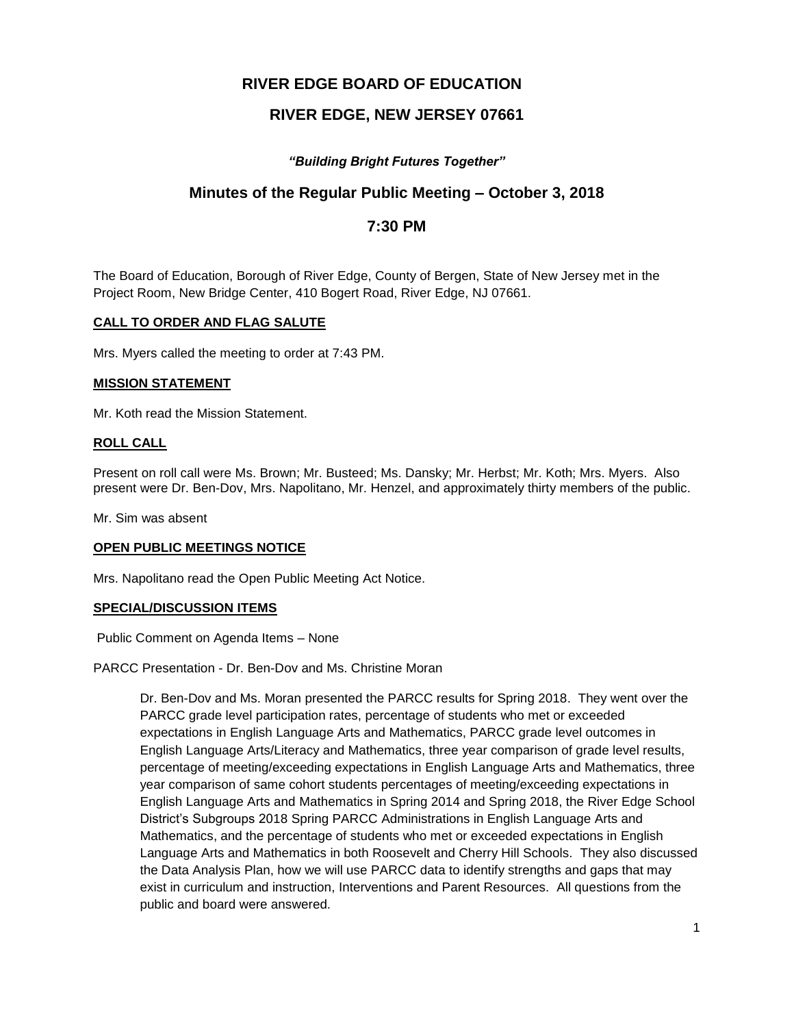# **RIVER EDGE BOARD OF EDUCATION**

# **RIVER EDGE, NEW JERSEY 07661**

# *"Building Bright Futures Together"*

# **Minutes of the Regular Public Meeting – October 3, 2018**

# **7:30 PM**

The Board of Education, Borough of River Edge, County of Bergen, State of New Jersey met in the Project Room, New Bridge Center, 410 Bogert Road, River Edge, NJ 07661.

## **CALL TO ORDER AND FLAG SALUTE**

Mrs. Myers called the meeting to order at 7:43 PM.

### **MISSION STATEMENT**

Mr. Koth read the Mission Statement.

### **ROLL CALL**

Present on roll call were Ms. Brown; Mr. Busteed; Ms. Dansky; Mr. Herbst; Mr. Koth; Mrs. Myers. Also present were Dr. Ben-Dov, Mrs. Napolitano, Mr. Henzel, and approximately thirty members of the public.

Mr. Sim was absent

### **OPEN PUBLIC MEETINGS NOTICE**

Mrs. Napolitano read the Open Public Meeting Act Notice.

### **SPECIAL/DISCUSSION ITEMS**

Public Comment on Agenda Items – None

PARCC Presentation - Dr. Ben-Dov and Ms. Christine Moran

Dr. Ben-Dov and Ms. Moran presented the PARCC results for Spring 2018. They went over the PARCC grade level participation rates, percentage of students who met or exceeded expectations in English Language Arts and Mathematics, PARCC grade level outcomes in English Language Arts/Literacy and Mathematics, three year comparison of grade level results, percentage of meeting/exceeding expectations in English Language Arts and Mathematics, three year comparison of same cohort students percentages of meeting/exceeding expectations in English Language Arts and Mathematics in Spring 2014 and Spring 2018, the River Edge School District's Subgroups 2018 Spring PARCC Administrations in English Language Arts and Mathematics, and the percentage of students who met or exceeded expectations in English Language Arts and Mathematics in both Roosevelt and Cherry Hill Schools. They also discussed the Data Analysis Plan, how we will use PARCC data to identify strengths and gaps that may exist in curriculum and instruction, Interventions and Parent Resources. All questions from the public and board were answered.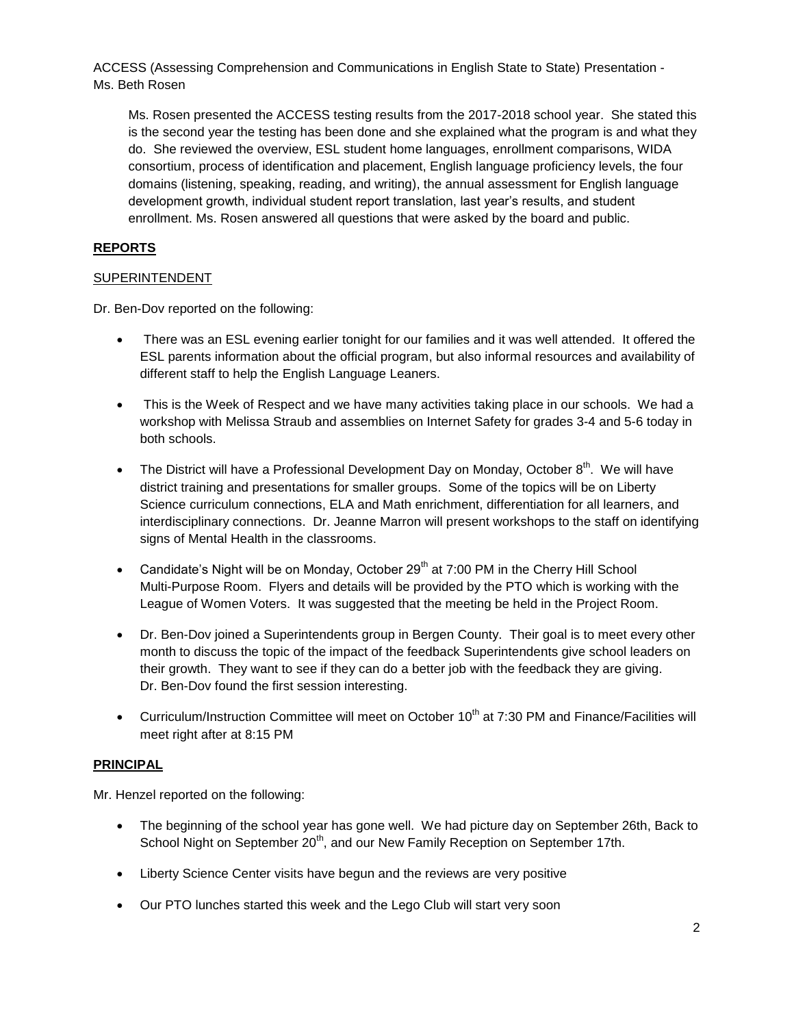ACCESS (Assessing Comprehension and Communications in English State to State) Presentation - Ms. Beth Rosen

Ms. Rosen presented the ACCESS testing results from the 2017-2018 school year. She stated this is the second year the testing has been done and she explained what the program is and what they do. She reviewed the overview, ESL student home languages, enrollment comparisons, WIDA consortium, process of identification and placement, English language proficiency levels, the four domains (listening, speaking, reading, and writing), the annual assessment for English language development growth, individual student report translation, last year's results, and student enrollment. Ms. Rosen answered all questions that were asked by the board and public.

# **REPORTS**

# SUPERINTENDENT

Dr. Ben-Dov reported on the following:

- There was an ESL evening earlier tonight for our families and it was well attended. It offered the ESL parents information about the official program, but also informal resources and availability of different staff to help the English Language Leaners.
- This is the Week of Respect and we have many activities taking place in our schools. We had a workshop with Melissa Straub and assemblies on Internet Safety for grades 3-4 and 5-6 today in both schools.
- The District will have a Professional Development Day on Monday, October  $8^{th}$ . We will have district training and presentations for smaller groups. Some of the topics will be on Liberty Science curriculum connections, ELA and Math enrichment, differentiation for all learners, and interdisciplinary connections. Dr. Jeanne Marron will present workshops to the staff on identifying signs of Mental Health in the classrooms.
- Candidate's Night will be on Monday, October  $29<sup>th</sup>$  at 7:00 PM in the Cherry Hill School Multi-Purpose Room. Flyers and details will be provided by the PTO which is working with the League of Women Voters. It was suggested that the meeting be held in the Project Room.
- Dr. Ben-Dov joined a Superintendents group in Bergen County. Their goal is to meet every other month to discuss the topic of the impact of the feedback Superintendents give school leaders on their growth. They want to see if they can do a better job with the feedback they are giving. Dr. Ben-Dov found the first session interesting.
- Curriculum/Instruction Committee will meet on October  $10<sup>th</sup>$  at 7:30 PM and Finance/Facilities will meet right after at 8:15 PM

### **PRINCIPAL**

Mr. Henzel reported on the following:

- The beginning of the school year has gone well. We had picture day on September 26th, Back to School Night on September 20<sup>th</sup>, and our New Family Reception on September 17th.
- Liberty Science Center visits have begun and the reviews are very positive
- Our PTO lunches started this week and the Lego Club will start very soon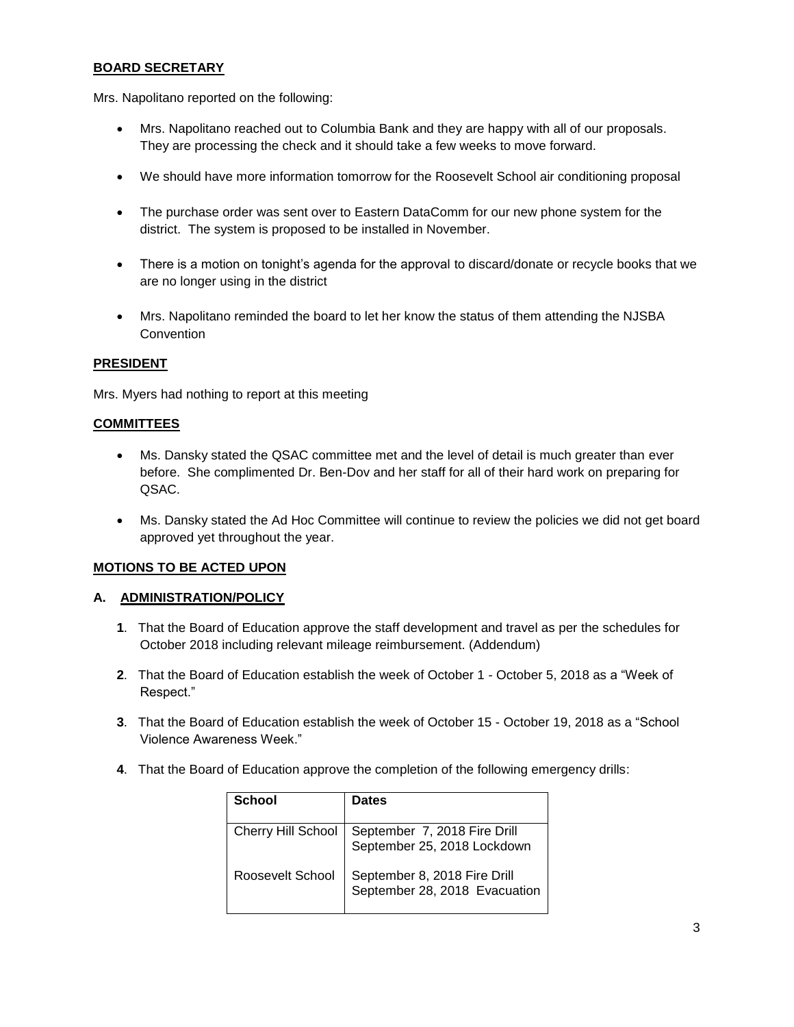# **BOARD SECRETARY**

Mrs. Napolitano reported on the following:

- Mrs. Napolitano reached out to Columbia Bank and they are happy with all of our proposals. They are processing the check and it should take a few weeks to move forward.
- We should have more information tomorrow for the Roosevelt School air conditioning proposal
- The purchase order was sent over to Eastern DataComm for our new phone system for the district. The system is proposed to be installed in November.
- There is a motion on tonight's agenda for the approval to discard/donate or recycle books that we are no longer using in the district
- Mrs. Napolitano reminded the board to let her know the status of them attending the NJSBA **Convention**

## **PRESIDENT**

Mrs. Myers had nothing to report at this meeting

## **COMMITTEES**

- Ms. Dansky stated the QSAC committee met and the level of detail is much greater than ever before. She complimented Dr. Ben-Dov and her staff for all of their hard work on preparing for QSAC.
- Ms. Dansky stated the Ad Hoc Committee will continue to review the policies we did not get board approved yet throughout the year.

# **MOTIONS TO BE ACTED UPON**

### **A. ADMINISTRATION/POLICY**

- **1**. That the Board of Education approve the staff development and travel as per the schedules for October 2018 including relevant mileage reimbursement. (Addendum)
- **2**. That the Board of Education establish the week of October 1 October 5, 2018 as a "Week of Respect."
- **3**. That the Board of Education establish the week of October 15 October 19, 2018 as a "School Violence Awareness Week."
- **4**. That the Board of Education approve the completion of the following emergency drills:

| School             | <b>Dates</b>                                                  |
|--------------------|---------------------------------------------------------------|
| Cherry Hill School | September 7, 2018 Fire Drill<br>September 25, 2018 Lockdown   |
| Roosevelt School   | September 8, 2018 Fire Drill<br>September 28, 2018 Evacuation |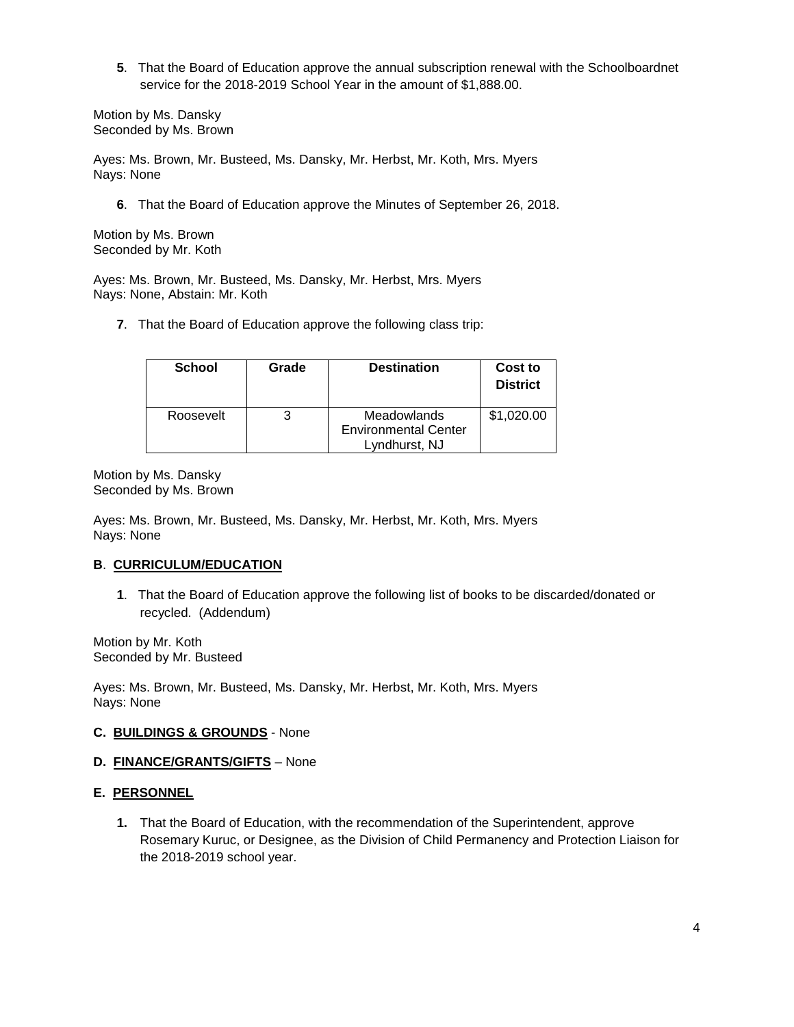**5**. That the Board of Education approve the annual subscription renewal with the Schoolboardnet service for the 2018-2019 School Year in the amount of \$1,888.00.

Motion by Ms. Dansky Seconded by Ms. Brown

Ayes: Ms. Brown, Mr. Busteed, Ms. Dansky, Mr. Herbst, Mr. Koth, Mrs. Myers Nays: None

**6**. That the Board of Education approve the Minutes of September 26, 2018.

Motion by Ms. Brown Seconded by Mr. Koth

Ayes: Ms. Brown, Mr. Busteed, Ms. Dansky, Mr. Herbst, Mrs. Myers Nays: None, Abstain: Mr. Koth

**7**. That the Board of Education approve the following class trip:

| <b>School</b> | Grade | <b>Destination</b>                                          | Cost to<br><b>District</b> |
|---------------|-------|-------------------------------------------------------------|----------------------------|
| Roosevelt     |       | Meadowlands<br><b>Environmental Center</b><br>Lyndhurst, NJ | \$1,020.00                 |

Motion by Ms. Dansky Seconded by Ms. Brown

Ayes: Ms. Brown, Mr. Busteed, Ms. Dansky, Mr. Herbst, Mr. Koth, Mrs. Myers Nays: None

# **B**. **CURRICULUM/EDUCATION**

**1**. That the Board of Education approve the following list of books to be discarded/donated or recycled. (Addendum)

Motion by Mr. Koth Seconded by Mr. Busteed

Ayes: Ms. Brown, Mr. Busteed, Ms. Dansky, Mr. Herbst, Mr. Koth, Mrs. Myers Nays: None

### **C. BUILDINGS & GROUNDS** - None

# **D. FINANCE/GRANTS/GIFTS** – None

## **E. PERSONNEL**

**1.** That the Board of Education, with the recommendation of the Superintendent, approve Rosemary Kuruc, or Designee, as the Division of Child Permanency and Protection Liaison for the 2018-2019 school year.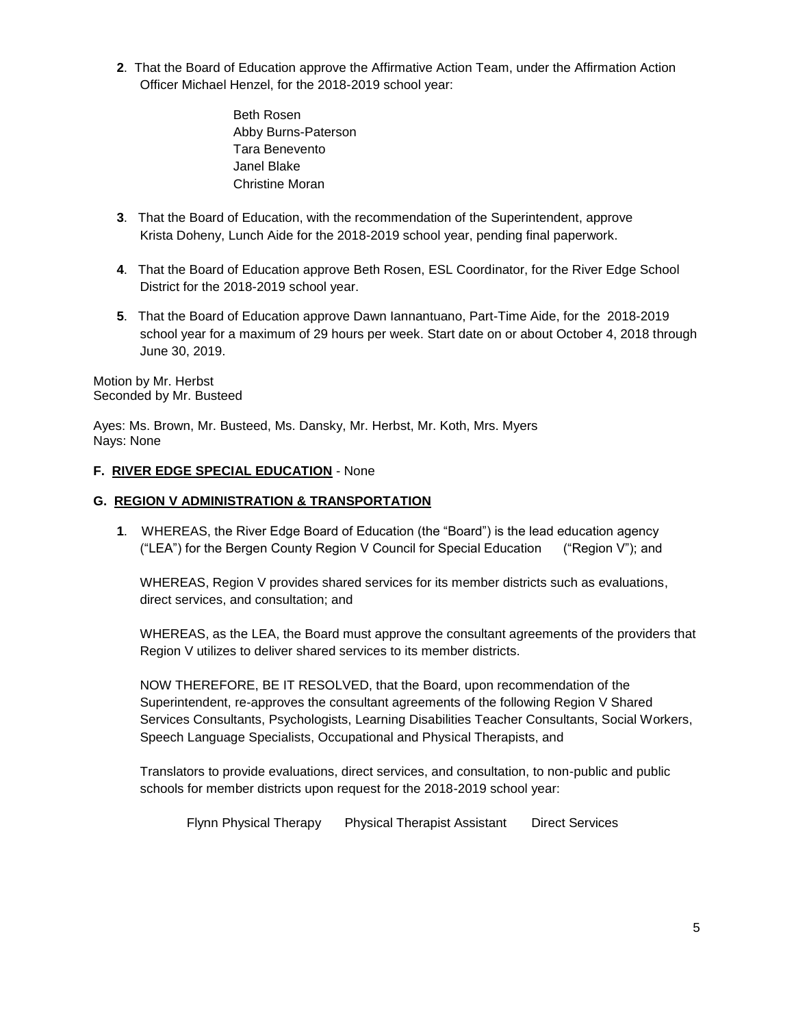- **2**. That the Board of Education approve the Affirmative Action Team, under the Affirmation Action Officer Michael Henzel, for the 2018-2019 school year:
	- Beth Rosen Abby Burns-Paterson Tara Benevento Janel Blake Christine Moran
- **3**. That the Board of Education, with the recommendation of the Superintendent, approve Krista Doheny, Lunch Aide for the 2018-2019 school year, pending final paperwork.
- **4**. That the Board of Education approve Beth Rosen, ESL Coordinator, for the River Edge School District for the 2018-2019 school year.
- **5**. That the Board of Education approve Dawn Iannantuano, Part-Time Aide, for the 2018-2019 school year for a maximum of 29 hours per week. Start date on or about October 4, 2018 through June 30, 2019.

Motion by Mr. Herbst Seconded by Mr. Busteed

Ayes: Ms. Brown, Mr. Busteed, Ms. Dansky, Mr. Herbst, Mr. Koth, Mrs. Myers Nays: None

# **F. RIVER EDGE SPECIAL EDUCATION** - None

## **G. REGION V ADMINISTRATION & TRANSPORTATION**

**1**. WHEREAS, the River Edge Board of Education (the "Board") is the lead education agency ("LEA") for the Bergen County Region V Council for Special Education ("Region V"); and

WHEREAS, Region V provides shared services for its member districts such as evaluations, direct services, and consultation; and

WHEREAS, as the LEA, the Board must approve the consultant agreements of the providers that Region V utilizes to deliver shared services to its member districts.

NOW THEREFORE, BE IT RESOLVED, that the Board, upon recommendation of the Superintendent, re-approves the consultant agreements of the following Region V Shared Services Consultants, Psychologists, Learning Disabilities Teacher Consultants, Social Workers, Speech Language Specialists, Occupational and Physical Therapists, and

Translators to provide evaluations, direct services, and consultation, to non-public and public schools for member districts upon request for the 2018-2019 school year:

Flynn Physical Therapy Physical Therapist Assistant Direct Services